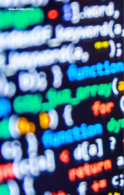$\frac{1}{2}$ 

I

C.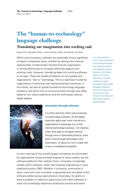# **The "human-to-technology" language challenge**

*Translating our imagination into working code*

Greg Smith, Mandeep Dhillon, Laurie Guillodo, Xabier Ormaechea, Carl Bate

Within every business, software can potentially drive a significant increase in enterprise value, whether by seizing new revenue opportunities, fundamentally transforming the organization, or driving efficiencies to compete effectively against everevolving rivals. However, translating ideas into working software is not easy. There are notable limitations on how people and organizations "talk to" technology. This is a significant hurdle for organizations in achieving their desired business outcomes. In this article, we look at typical business-to-technology language problems, and show how to overcome these through new ideas based on our recent experience and the techniques used by digital leaders.

It is often said that within every business is a technology business, with software central to enterprise success. However, translating ideas into working software is not easy. Looking at typical business-to-technology language problems, this article shows how to overcome them through new ideas and techniques used by digital leaders.



#### **Innovation through software**

It is often said that within every business is a technology business. As the digital revolution gains ever more momentum, organizations increasingly turn to this internal technology business – for instance, when they seek to increase revenue through new or diversified products, drive down costs through optimization and automation, or figure out how to deal with a new or revitalized competitor.

Current rankings of the world's largest companies are dominated by organizations whose principal engines of value creation are the software platforms that underpin them. Innovation increasingly resides within software, rather than physical engineering or more traditional product R&D. Whether it is pharma, automotive or telco, more and more innovation is generated and simulated within software before being made physical. Essentially, the ability to solve a problem or realize an opportunity fully within software is what will increasingly determine enterprise winners and losers.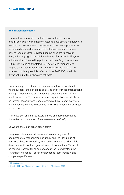#### **Box 1: Medtech sector**

The medtech sector demonstrates how software unlocks enterprise value. While initially created to develop and manufacture medical devices, medtech companies now increasingly focus on capturing data in order to generate valuable insight and create new revenue streams. Devices become enablers to harvest data, unlocking significant additional value. For example, iRhythm articulates its unique selling point around data (e.g., "more than 150 million hours of annotated ECG data") and "transparent insight", with little emphasis on its medical device itself<sup>1</sup>. The success of this approach is reflected in its 2016 IPO, in which it was valued at 65% above its estimate<sup>2</sup>.

Unfortunately, while the ability to master software is critical to future success, the barriers to achieving this for most organizations are high. Twenty years of outsourcing, offshoring and "off-theshelf" enterprise IT solutions have left organizations with little or no internal capability and understanding of how to craft software and harness it to achieve business goals. This is being exacerbated by two trends:

1) the addition of digital software on top of legacy applications 2) the desire to move to software-as-a-service (SaaS)

So where should an organization start?

Language is fundamentally a way of transferring ideas from one person to another person or group, and the "language of business" has, for centuries, required us to understand multiple dialects specific to the organization and its operations. This could be the requirement for all senior executives to understand the "language of finance", or for employees to learn industry- and company-specific terms.

<sup>1.</sup> [irhythmtech.com](http://irhythmtech.com)

<sup>2.</sup> [MobiHealthNews, iRhythm goes public with \\$107M IPO, October 2016](http://www.mobihealthnews.com/content/irhythm-goes-public-107m-ipo)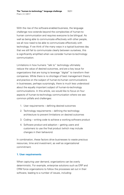With the rise of the software-enabled business, the language challenge now extends beyond the complexities of human-tohuman communication and requires everyone to be bilingual. As well as being able to communicate effectively with other people, we all now need to be able to communicate effectively with technology. If we think of the many ways in a typical business day that we still fail to communicate clearly between ourselves, this is significantly amplified when we consider human-to-technology communication.

Limitations in how humans "talk to" technology ultimately reduce the value of desired outcomes, and are a key issue for organizations that are trying to leverage "digital" to transform their companies. While there is no shortage of best management theory and practice on the subject of human-to-human communications in businesses, perhaps surprisingly, there is much less understood about the equally important subject of human-to-technology communications. In this article, we would like to focus on four aspects of human-to-technology communication where we see common pitfalls and challenges:

- 1. User requirements defining desired outcomes
- 2. Technology requirements defining the technology architecture to prevent limitations on desired outcomes
- 3. Coding writing code to achieve a working software product
- 4. Software product and adoption getting users and customers to use the final product (which may include changes in their behaviors)

In combination, these factors drive businesses to waste precious resources, time and investment, as well as organizational commitment.

## **1. User requirements**

When capturing user demand, organizations can be overly deterministic. For example, enterprise solutions such as ERP and CRM force organizations to follow the processes set out in their software, leading to a number of issues, including: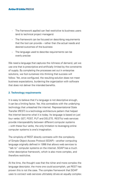- The framework applied can feel restrictive to business users (and to technical project managers)
- The framework can be focused on describing requirements that the tool can provide – rather than the actual needs and desired outcomes of the business
- The language used to describe requirements can be overly precise

We need a language that captures the richness of demand, yet we use one that is prescriptive and artificially limited by the constraints of supply. By completing the processes set out in enterprise solutions, we fool ourselves into thinking that success will follow. Yet, once configured, the resulting solution does not meet business expectations, burdening the organization with software that does not deliver the intended benefits.

#### **2. Technology requirements**

It is easy to believe that if a language is not descriptive enough, it can be a limiting factor. Yet, this contradicts with the underlying technology that unleashed the internet. Representational State Transfer (REST) is a technology architecture pattern that helped the internet become what it is today. Its language is based on just four verbs: GET, POST, PUT and DELETE. RESTful web services provide interoperability between different computer systems – with these four verbs, the only limitation to leveraging online computer systems is one's imagination.

The simplicity of REST directly contrasts with the complexity of Simple Object Access Protocol (SOAP) – another computing language originally defined in 1998 that allows web services to "talk to" computer systems on the internet. SOAP has a much richer descriptive framework, which is also more complex, and therefore restrictive.

At the time, the thought was that the richer and more complex the language descriptor, the more one could accomplish, yet REST has proven this is not the case. The complex framework that SOAP uses to connect web services ultimately drives an equally complex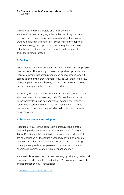and constraining manual/bible of enterprise tools. We therefore need a language that unleashes imagination and creativity, yet many enterprise tools are built on technology protocols that limit and constrain. By falling into the trap that more technology descriptors help codify requirements, we actually limit the business value through multiple, complex and constraining protocols.

## **3. Coding**

Coding today has a fundamental limitation – the number of people that can code. This scarcity of resources pushes up salaries and therefore means that organizations face budget issues when it comes to employing programmers. How do we, therefore, allow more people to create software, so that it becomes a process, rather than requiring them to learn to code?

To do this, we need a language that removes the barriers between ideas and execution as working code. Yet, we have a humanto-technology language taxonomy that, despite best efforts, has multiple barriers to entry. The end result is that we limit the number of people with great ideas who can quickly create business value.

## **4. Software product and adoption**

Adoption of new technologies within organizations is often met with passive resistance or "tissue rejection". A recent Arthur D. Little article<sup>3</sup> identified some common pitfalls, which are compounded by the issues described above. For example, many organizations underestimate behavioral issues – failing to adequately plan how employees will adopt the tool – and mismanage communication, which impact adoption.

We need a language that provides meaning by reflecting real-world complexity, and is simple to understand. Yet, we often neglect this and its impact on new technologies.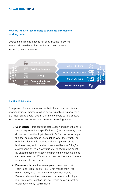# **How we "talk-to" technology to translate our ideas to working code**

Overcoming this challenge is not easy, but the following framework provides a blueprint for improved humantechnology communications.



## **1. Jobs To Be Done**

Enterprise software processes can limit the innovation potential of organizations. Therefore, when selecting or building new tools, it is important to deploy design-thinking concepts to help capture requirements that can test outcomes in a meaningful way:

- 1. **User stories** this captures actor, action and benefit, and is always expressed in a specific format ("as an <actor>, I can do <action>, so that I get <benefit>"). Through workshops, this tool helps business users define what they want. The only limitation of this method is the imagination of the business user, which can be constrained by how "they've always done it"; this is why it is vital to capture the benefit. By understanding the action and benefit in conjunction, one can determine the difference, and test and validate different scenarios with end users.
- 2. **Personas** this captures examples of users and their "pain" and "gain" points – i.e., what makes their lives difficult today, and what would remedy their issues. Personas also capture how a user may use a technology (e.g., frequency, location, device), which has an impact on overall technology requirements.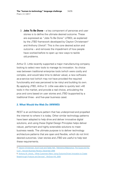3. **Jobs To Be Done** – a key component of personas and user stories is to define the ultimate desired outcome. These are expressed as "Jobs To Be Done" (JTBD), as explained by the JTBD framework developed by Clayton Christensen<sup>4</sup> and Anthony Ulwick<sup>5</sup>. This is the core desired action and outcome – and removes the impediment of how people have worked before to open up new ways to tackle old problems.

Arthur D. Little recently supported a major manufacturing company looking to select new tools to manage its innovation. Its choice was between traditional enterprise tools (which were costly and complex, and would take time to deliver value), a new softwareas-a-service tool (which may not have provided the required functionality and was perceived to be risky) and building its own. By applying JTBD, Arthur D. Little was able to quickly test >40 tools in the market, and provide a real choice, articulating the pros and cons based on user stories and JTBD (supported by a traditional three - and five-year business case).

## **2. What Would the Web Do (WWWD)**

REST is an architecture pattern that has underpinned and propelled the internet to where it is today. Other similar technology patterns have been adopted to help drive and deliver innovative digital solutions, and using these Digital Design Principles helps deliver robust, performant and highly extensible solutions to meet business needs. The ultimate purpose is to deliver technology architecture patterns that are open and flexible, which do not limit desired outcomes. User stories and JTBD are useful to help test these requirements.

4. Clayton Christensen, Scott Cook and Taddy Hall, "Marketing Malpractice: The Cause and the [Cure", Harvard Business Review, December 2005](https://hbr.org/2005/12/marketing-malpractice-the-cause-and-the-cure)

5. [Anthony W. Ulwick, "What Customers Want: Using Outcome-Driven Innovation to Create](https://books.google.co.uk/books?id=NL4eMqlX_8YC&printsec=frontcover&dq=What+Customers+Want:+Using+Outcome-Driven+Innovation+to+Create+Breakthrough+Products+and+Services&hl=en&sa=X&ved=0ahUKEwjWi8D7i53XAhXEnBoKHTxFD3kQ6AEIJjAA#v=onepage&q=What%20Customers%20Want%3A%20Using%20Outcome-Driven%20Innovation%20to%20Create%20Breakthrough%20Products%20and%20Services&f=false) [Breakthrough Products and Services", McGraw-Hill, 2005](https://books.google.co.uk/books?id=NL4eMqlX_8YC&printsec=frontcover&dq=What+Customers+Want:+Using+Outcome-Driven+Innovation+to+Create+Breakthrough+Products+and+Services&hl=en&sa=X&ved=0ahUKEwjWi8D7i53XAhXEnBoKHTxFD3kQ6AEIJjAA#v=onepage&q=What%20Customers%20Want%3A%20Using%20Outcome-Driven%20Innovation%20to%20Create%20Breakthrough%20Products%20and%20Services&f=false)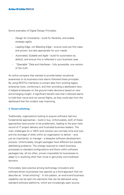Some examples of Digital Design Principles:

- *Design for Uncertainty* build for flexibility, and enable strategic agility
- *Leading Edge*, *not Bleeding Edge* ensure tools are first class and proven, but also appropriate for your needs
- *Automated, Scalable and Agile* build for automation by default, and ensure this is reflected in your business case
- *"Openable" Data and Interfaces* fully accessible, one version of the truth.

An airline company that wanted to provide better situational awareness to its business-crisis teams followed these principles. By using RESTful interfaces to extract data from existing legacy enterprise tools, combining it, and then providing a dashboard view, it helped employees on the ground make decisions based on new and emerging insight. A significant benefit was that it allowed teams to hold their nerve and not cancel flights, as they could see from the dashboard that the incident was improving.

#### **3. Smart-stitching**

Traditionally, organizations looking to acquire software had two fundamental approaches – build or buy. Unfortunately, both of these approaches have proven to be problematic, leading to the poor track record of IT project delivery and frustrated business leaders. The main challenges for a 100% built solution are normally time and cost, and the shortage of skills within an organization to deliver – and, just as importantly, to manage – a bespoke software development process. Unfortunately, bought packages have different but equally debilitating problems. The change required to match business processes to standard configurations and flows within software packages has, all too often, proven impossible for businesses to adapt to in anything other than trivial or genuinely commoditized domains.

Fortunately, best practice among technology innovators and software-driven businesses has opened up a third approach that we describe as "smart-stitching". In this pattern, an end-to-end business capability can be split into elements that can be delivered using standard software platforms, which are increasingly open source,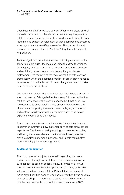cloud based and delivered as a service. When the analysis of what is needed is carried out, the elements that are truly bespoke to a solution or organization are typically a small percentage of the total footprint, and custom development of these components becomes a manageable and time-efficient exercise. The commodity and custom elements can then be "stitched" together into an end-toend solution.

Another significant benefit of the smart-stitching approach is the ability to exploit legacy technologies using the same techniques. Once legacy platforms are looked on as an asset to be harnessed and exploited, rather than an obstacle requiring wholesale replacement, the footprint of the required solution often shrinks dramatically. Often the question asked by an organization needs to be reframed to: "What is the minimum change we need to make to achieve new capabilities?"

Critically, when considering a "smart-stitch" approach, companies should always put "design before technology" to ensure that the solution is wrapped with a user experience (UX) that is intuitive and designed to drive adoption. This ensures that the diversity of elements comprising the overall solution (legacy, commodity and custom) is hidden from the customer or user, who has an experience built around their needs.

A large entertainment and gaming company used smart-stitching to deliver an innovative, new customer point-of-sale omnichannel experience. This involved taking existing and new technologies, and linking them to enable automation of staff tasks, in order to provide a better customer experience, and to help them better meet emerging government regulations.

## **4. Memes for adoption**

The word "meme" conjures a mental image of a joke that is spread online through social platforms, but it is also a powerful business tool to pass on an idea or new information over two speeds: quickly through viral adoption, and slowly by embedding values and culture. Indeed, Arthur Dehon Little's response of, "Who says it can't be done?" when asked whether it was possible to create a silk purse out of a pig's ear, is an excellent example – one that has inspired both consultants and clients since 1886.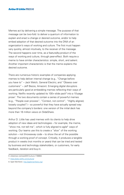Memes act by delivering a simple message. The purpose of that message can be two-fold: to deliver a quantum of information to explain and enact a change or desired outcome, and/or to help embed adoption of that desired outcome into the DNA of an organization's ways of working and culture. The first must happen very quickly, almost intuitively, to the receiver of the message. The second happens over time, as a feature/by-product of the ways of working and culture, through peer-effect. Both require a meme to have similar characteristics: simple, short, and salient. Another important characteristic is that the meme explains the desired outcome.

There are numerous historic examples of companies applying memes to help deliver internal change (e.g., "Change before you have to" – Jack Welch, General Electric; and "Obsess over customers" – Jeff Bezos, Amazon). Emerging digital disruptors are particularly good at embedding memes reflecting their ways of working. Netflix recently updated its 100+-slide pack<sup>6</sup> into a 10-page prose<sup>7</sup>. The two documents contain a series of powerful memes (e.g., "People over process", "Context, not control", "Highly aligned, loosely coupled") – so powerful that they have actually spread way beyond the company's borders: one version of the initial deck has more than 16 million views on SlideShare.

Arthur D. Little has used memes with its clients to help drive adoption of new ideas and technologies – for example, the meme, "show me, not tell me", which is fully aligned to agile $8$  ways of working. Our teams use this to create a "slice" of the working solution – not throwaway code – to show the art of the possible through a working proof of concept. Critically, it produces a tangible product in weeks (not months or years) that can be tried and tested by business and technology stakeholders, or customers, for early feedback, iteration and buy-in.

<sup>6.</sup> slideshare.net/reed2001/culture-1798664

<sup>7.</sup> [https://jobs.netflix.com/culture/](https://www.slideshare.net/reed2001/culture-1798664?qid=a9252f15-6d99-44db-9e62-9b82626eb7f3&v=&b=&from_search=2)

<sup>8.</sup> Agile Manifesto:<http://agilemanifesto.org/>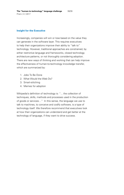## **Insight for the Executive**

Increasingly, companies will win or lose based on the value they can generate in the software layer. This requires executives to help their organizations improve their ability to "talk to" technology. However, traditional approaches are constrained, by either restrictive language and frameworks, closed technology architecture patterns, or not thoroughly considering adoption. There are new ways of thinking and working that can help improve the effectiveness of human-to-technology knowledge transfer, which are summarized by:

- 1. Jobs To Be Done
- 2. What Would the Web Do?
- 3. Smart-stitching
- 4. Memes for adoption

Wikipedia's definition of technology is: "... the collection of techniques, skills, methods and processes used in the production of goods or services…" In this sense, the language we use to talk to machines, to conceive and codify software, is a type of technology itself. We therefore recommend that executives look at how their organizations can understand and get better at the technology of language, if they want to drive success.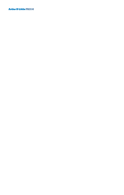**Artlur D Little PRISM**